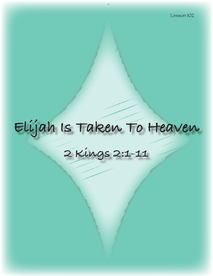# **Elijah Is Taken To Heaven**

**2 Kings 2:1-11**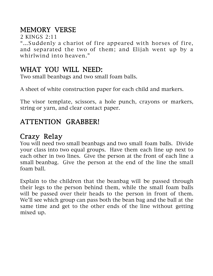# MEMORY VERSE

2 KINGS 2:11

"…Suddenly a chariot of fire appeared with horses of fire, and separated the two of them; and Elijah went up by a whirlwind into heaven."

### WHAT YOU WILL NEED:

Two small beanbags and two small foam balls.

A sheet of white construction paper for each child and markers.

The visor template, scissors, a hole punch, crayons or markers, string or yarn, and clear contact paper.

# ATTENTION GRABBER!

# Crazy Relay

You will need two small beanbags and two small foam balls. Divide your class into two equal groups. Have them each line up next to each other in two lines. Give the person at the front of each line a small beanbag. Give the person at the end of the line the small foam ball.

Explain to the children that the beanbag will be passed through their legs to the person behind them, while the small foam balls will be passed over their heads to the person in front of them. We'll see which group can pass both the bean bag and the ball at the same time and get to the other ends of the line without getting mixed up.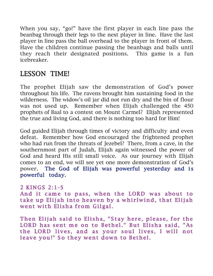When you say, "go!" have the first player in each line pass the beanbag through their legs to the next player in line. Have the last player in line pass the ball overhead to the player in front of them. Have the children continue passing the beanbags and balls until they reach their designated positions. This game is a fun icebreaker.

# LESSON TIME!

The prophet Elijah saw the demonstration of God's power throughout his life. The ravens brought him sustaining food in the wilderness. The widow's oil jar did not run dry and the bin of flour was not used up. Remember when Elijah challenged the 450 prophets of Baal to a contest on Mount Carmel? Elijah represented the true and living God, and there is nothing too hard for Him!

God guided Elijah through times of victory and difficulty and even defeat. Remember how God encouraged the frightened prophet who had run from the threats of Jezebel? There, from a cave, in the southernmost part of Judah, Elijah again witnessed the power of God and heard His still small voice. As our journey with Elijah comes to an end, we will see yet one more demonstration of God's power. The God of Elijah was powerful yesterday and is powerful today.

#### 2 KINGS 2:1-5 And it came to pass, when the LORD was about to take up Elijah into heaven by a whirlwind, that Elijah went with Elisha from Gilgal.

Then Elijah said to Elisha, "Stay here, please, for the LORD has sent me on to Bethel." But Elisha said, "As the LORD lives, and as your soul lives, I will not leave you!" So they went down to Bethel.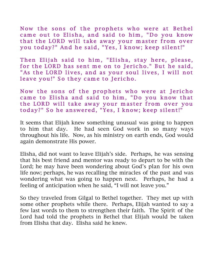Now the sons of the prophets who were at Bethel came out to Elisha, and said to him, "Do you know that the LORD will take away your master from over you today?" And he said, "Yes, I know; keep silent!"

Then Elijah said to him, "Elisha, stay here, please, for the LORD has sent me on to Jericho." But he said, "As the LORD lives, and as your soul lives, I will not leave you!" So they came to Jericho.

Now the sons of the prophets who were at Jericho came to Elisha and said to him, "Do you know that the LORD will take away your master from over you today?" So he answered, "Yes, I know; keep silent!"

It seems that Elijah knew something unusual was going to happen to him that day. He had seen God work in so many ways throughout his life. Now, as his ministry on earth ends, God would again demonstrate His power.

Elisha, did not want to leave Elijah's side. Perhaps, he was sensing that his best friend and mentor was ready to depart to be with the Lord; he may have been wondering about God's plan for his own life now; perhaps, he was recalling the miracles of the past and was wondering what was going to happen next. Perhaps, he had a feeling of anticipation when he said, "I will not leave you."

So they traveled from Gilgal to Bethel together. They met up with some other prophets while there. Perhaps, Elijah wanted to say a few last words to them to strengthen their faith. The Spirit of the Lord had told the prophets in Bethel that Elijah would be taken from Elisha that day. Elisha said he knew.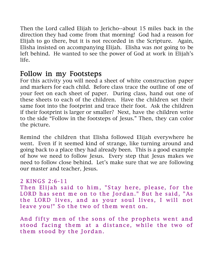Then the Lord called Elijah to Jericho--about 15 miles back in the direction they had come from that morning! God had a reason for Elijah to go there, but it is not recorded in the Scripture. Again, Elisha insisted on accompanying Elijah. Elisha was not going to be left behind. He wanted to see the power of God at work in Elijah's life.

## Follow in my Footsteps

For this activity you will need a sheet of white construction paper and markers for each child. Before class trace the outline of one of your feet on each sheet of paper. During class, hand out one of these sheets to each of the children. Have the children set their same foot into the footprint and trace their foot. Ask the children if their footprint is larger or smaller? Next, have the children write to the side "Follow in the footsteps of Jesus." Then, they can color the picture.

Remind the children that Elisha followed Elijah everywhere he went. Even if it seemed kind of strange, like turning around and going back to a place they had already been. This is a good example of how we need to follow Jesus. Every step that Jesus makes we need to follow close behind. Let's make sure that we are following our master and teacher, Jesus.

#### 2 KINGS 2:6-11

Then Elijah said to him, "Stay here, please, for the LORD has sent me on to the Jordan." But he said, "As the LORD lives, and as your soul lives, I will not leave you!" So the two of them went on.

And fifty men of the sons of the prophets went and stood facing them at a distance, while the two of them stood by the Jordan.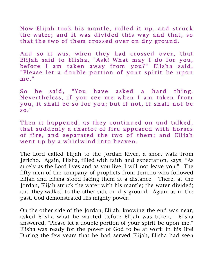Now Elijah took his mantle, rolled it up, and struck the water; and it was divided this way and that, so that the two of them crossed over on dry ground.

And so it was, when they had crossed over, that Elijah said to Elisha, "Ask! What may I do for you, before I am taken away from you?" Elisha said, "Please let a double portion of your spirit be upon  $me.$ "

So he said, "You have asked a hard thing. Nevertheless, if you see me when I am taken from you, it shall be so for you; but if not, it shall not be so. "

Then it happened, as they continued on and talked, that suddenly a chariot of fire appeared with horses of fire, and separated the two of them; and Elijah went up by a whirlwind into heaven.

The Lord called Elijah to the Jordan River, a short walk from Jericho. Again, Elisha, filled with faith and expectation, says, "As surely as the Lord lives and as you live, I will not leave you." The fifty men of the company of prophets from Jericho who followed Elijah and Elisha stood facing them at a distance. There, at the Jordan, Elijah struck the water with his mantle; the water divided; and they walked to the other side on dry ground. Again, as in the past, God demonstrated His mighty power.

On the other side of the Jordan, Elijah, knowing the end was near, asked Elisha what he wanted before Elijah was taken. Elisha answered, "Please let a double portion of your spirit be upon me." Elisha was ready for the power of God to be at work in his life! During the few years that he had served Elijah, Elisha had seen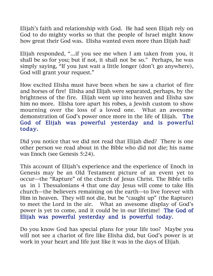Elijah's faith and relationship with God. He had seen Elijah rely on God to do mighty works so that the people of Israel might know how great their God was. Elisha wanted even more than Elijah had!

Elijah responded, "…if you see me when I am taken from you, it shall be so for you; but if not, it shall not be so." Perhaps, he was simply saying, "If you just wait a little longer (don't go anywhere), God will grant your request."

How excited Elisha must have been when he saw a chariot of fire and horses of fire! Elisha and Elijah were separated, perhaps, by the brightness of the fire. Elijah went up into heaven and Elisha saw him no more. Elisha tore apart his robes, a Jewish custom to show mourning over the loss of a loved one. What an awesome demonstration of God's power once more in the life of Elijah. The God of Elijah was powerful yesterday and is powerful today.

Did you notice that we did not read that Elijah died? There is one other person we read about in the Bible who did not die; his name was Enoch (see Genesis 5:24).

This account of Elijah's experience and the experience of Enoch in Genesis may be an Old Testament picture of an event yet to occur—the "Rapture" of the church of Jesus Christ. The Bible tells us in 1 Thessalonians 4 that one day Jesus will come to take His church—the believers remaining on the earth—to live forever with Him in heaven. They will not die, but be "caught up" (the Rapture) to meet the Lord in the air. What an awesome display of God's power is yet to come, and it could be in our lifetime! The God of Elijah was powerful yesterday and is powerful today.

Do you know God has special plans for your life too? Maybe you will not see a chariot of fire like Elisha did, but God's power is at work in your heart and life just like it was in the days of Elijah.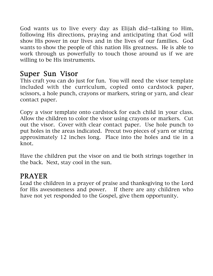God wants us to live every day as Elijah did--talking to Him, following His directions, praying and anticipating that God will show His power in our lives and in the lives of our families. God wants to show the people of this nation His greatness. He is able to work through us powerfully to touch those around us if we are willing to be His instruments.

## Super Sun Visor

This craft you can do just for fun. You will need the visor template included with the curriculum, copied onto cardstock paper, scissors, a hole punch, crayons or markers, string or yarn, and clear contact paper.

Copy a visor template onto cardstock for each child in your class. Allow the children to color the visor using crayons or markers. Cut out the visor. Cover with clear contact paper. Use hole punch to put holes in the areas indicated. Precut two pieces of yarn or string approximately 12 inches long. Place into the holes and tie in a knot.

Have the children put the visor on and tie both strings together in the back. Next, stay cool in the sun.

## PRAYER

Lead the children in a prayer of praise and thanksgiving to the Lord for His awesomeness and power. If there are any children who have not yet responded to the Gospel, give them opportunity.